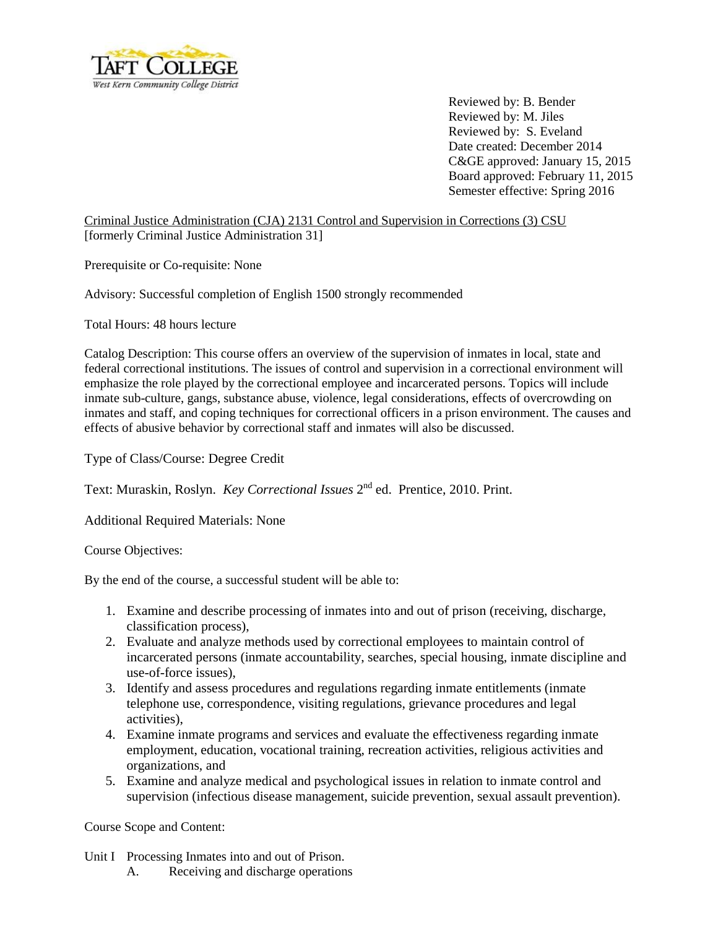

Reviewed by: B. Bender Reviewed by: M. Jiles Reviewed by: S. Eveland Date created: December 2014 C&GE approved: January 15, 2015 Board approved: February 11, 2015 Semester effective: Spring 2016

Criminal Justice Administration (CJA) 2131 Control and Supervision in Corrections (3) CSU [formerly Criminal Justice Administration 31]

Prerequisite or Co-requisite: None

Advisory: Successful completion of English 1500 strongly recommended

Total Hours: 48 hours lecture

Catalog Description: This course offers an overview of the supervision of inmates in local, state and federal correctional institutions. The issues of control and supervision in a correctional environment will emphasize the role played by the correctional employee and incarcerated persons. Topics will include inmate sub-culture, gangs, substance abuse, violence, legal considerations, effects of overcrowding on inmates and staff, and coping techniques for correctional officers in a prison environment. The causes and effects of abusive behavior by correctional staff and inmates will also be discussed.

Type of Class/Course: Degree Credit

Text: Muraskin, Roslyn. *Key Correctional Issues* 2<sup>nd</sup> ed. Prentice, 2010. Print.

Additional Required Materials: None

Course Objectives:

By the end of the course, a successful student will be able to:

- 1. Examine and describe processing of inmates into and out of prison (receiving, discharge, classification process),
- 2. Evaluate and analyze methods used by correctional employees to maintain control of incarcerated persons (inmate accountability, searches, special housing, inmate discipline and use-of-force issues),
- 3. Identify and assess procedures and regulations regarding inmate entitlements (inmate telephone use, correspondence, visiting regulations, grievance procedures and legal activities),
- 4. Examine inmate programs and services and evaluate the effectiveness regarding inmate employment, education, vocational training, recreation activities, religious activities and organizations, and
- 5. Examine and analyze medical and psychological issues in relation to inmate control and supervision (infectious disease management, suicide prevention, sexual assault prevention).

Course Scope and Content:

- Unit I Processing Inmates into and out of Prison.
	- A. Receiving and discharge operations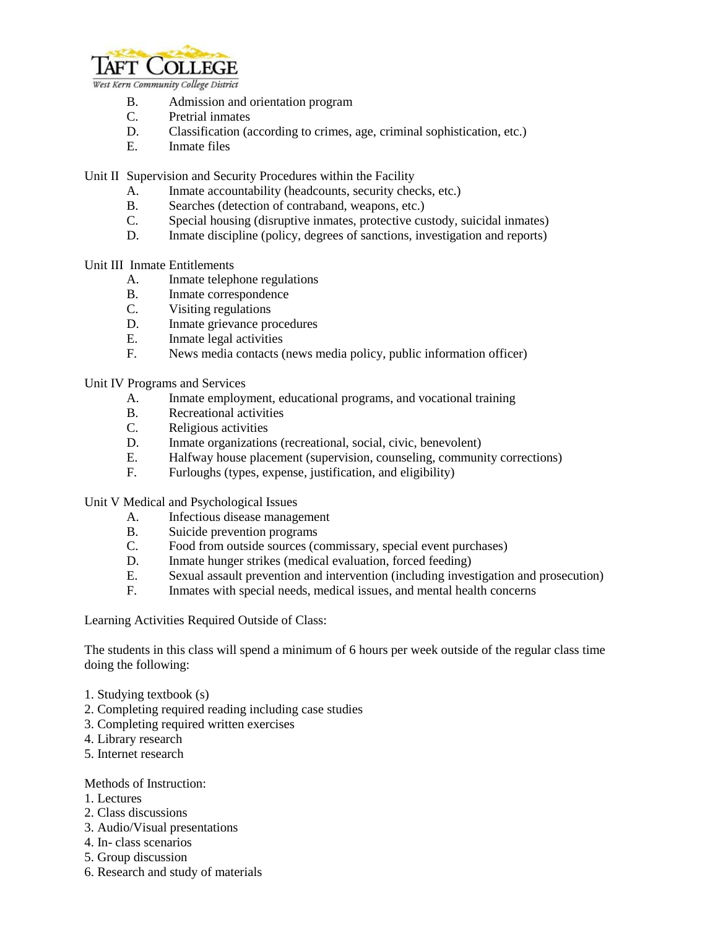

- B. Admission and orientation program
- C. Pretrial inmates
- D. Classification (according to crimes, age, criminal sophistication, etc.)
- E. Inmate files

Unit II Supervision and Security Procedures within the Facility

- A. Inmate accountability (headcounts, security checks, etc.)
- B. Searches (detection of contraband, weapons, etc.)
- C. Special housing (disruptive inmates, protective custody, suicidal inmates)
- D. Inmate discipline (policy, degrees of sanctions, investigation and reports)

Unit III Inmate Entitlements

- A. Inmate telephone regulations
- B. Inmate correspondence
- C. Visiting regulations
- D. Inmate grievance procedures
- E. Inmate legal activities
- F. News media contacts (news media policy, public information officer)

Unit IV Programs and Services

- A. Inmate employment, educational programs, and vocational training
- B. Recreational activities
- C. Religious activities
- D. Inmate organizations (recreational, social, civic, benevolent)
- E. Halfway house placement (supervision, counseling, community corrections)
- F. Furloughs (types, expense, justification, and eligibility)

Unit V Medical and Psychological Issues

- A. Infectious disease management
- B. Suicide prevention programs
- C. Food from outside sources (commissary, special event purchases)
- D. Inmate hunger strikes (medical evaluation, forced feeding)
- E. Sexual assault prevention and intervention (including investigation and prosecution)
- F. Inmates with special needs, medical issues, and mental health concerns

Learning Activities Required Outside of Class:

The students in this class will spend a minimum of 6 hours per week outside of the regular class time doing the following:

- 1. Studying textbook (s)
- 2. Completing required reading including case studies
- 3. Completing required written exercises
- 4. Library research
- 5. Internet research

## Methods of Instruction:

- 1. Lectures
- 2. Class discussions
- 3. Audio/Visual presentations
- 4. In- class scenarios
- 5. Group discussion
- 6. Research and study of materials